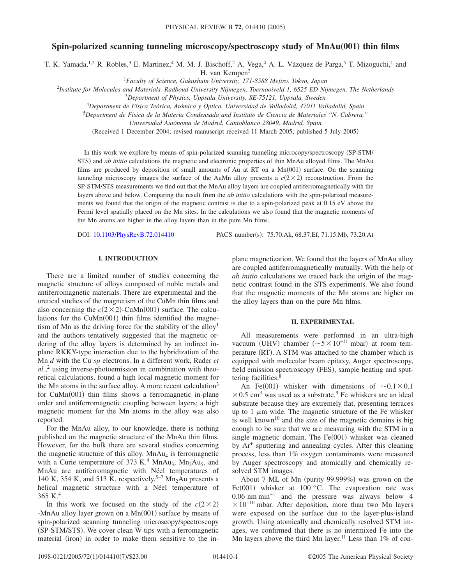# **Spin-polarized scanning tunneling microscopy/spectroscopy study of MnAu(001) thin films**

T. K. Yamada,<sup>1,2</sup> R. Robles,<sup>3</sup> E. Martinez,<sup>4</sup> M. M. J. Bischoff,<sup>2</sup> A. Vega,<sup>4</sup> A. L. Vázquez de Parga,<sup>5</sup> T. Mizoguchi,<sup>1</sup> and

H. van Kempen<sup>2</sup>

<sup>1</sup>*Faculty of Science, Gakushuin University, 171-8588 Mejiro, Tokyo, Japan*

2 *Institute for Molecules and Materials, Radboud University Nijmegen, Toernooiveld 1, 6525 ED Nijmegen, The Netherlands*

<sup>3</sup>*Department of Physics, Uppsala University, SE-75121, Uppsala, Sweden*

<sup>4</sup>*Department de Física Teórica, Atómica y Optica, Universidad de Valladolid, 47011 Valladolid, Spain*

<sup>5</sup>*Department de Física de la Materia Condensada and Instituto de Ciencia de Materiales "N. Cabrera,"*

*Universidad Autónoma de Madrid, Cantoblanco 28049, Madrid, Spain*

(Received 1 December 2004; revised manuscript received 11 March 2005; published 5 July 2005)

In this work we explore by means of spin-polarized scanning tunneling microcopy/spectroscopy (SP-STM/ STS) and *ab initio* calculations the magnetic and electronic properties of thin MnAu alloyed films. The MnAu films are produced by deposition of small amounts of Au at RT on a  $Mn(001)$  surface. On the scanning tunneling microscopy images the surface of the AuMn alloy presents a  $c(2\times 2)$  reconstruction. From the SP-STM/STS measurements we find out that the MnAu alloy layers are coupled antiferromagnetically with the layers above and below. Comparing the result from the *ab initio* calculations with the spin-polarized measurements we found that the origin of the magnetic contrast is due to a spin-polarized peak at 0.15 eV above the Fermi level spatially placed on the Mn sites. In the calculations we also found that the magnetic moments of the Mn atoms are higher in the alloy layers than in the pure Mn films.

DOI: [10.1103/PhysRevB.72.014410](http://dx.doi.org/10.1103/PhysRevB.72.014410)

PACS number(s): 75.70.Ak, 68.37.Ef, 71.15.Mb, 73.20.At

## **I. INTRODUCTION**

There are a limited number of studies concerning the magnetic structure of alloys composed of noble metals and antiferromagnetic materials. There are experimental and theoretical studies of the magnetism of the CuMn thin films and also concerning the  $c(2 \times 2)$ -CuMn(001) surface. The calculations for the CuMn(001) thin films identified the magnetism of Mn as the driving force for the stability of the alloy<sup>1</sup> and the authors tentatively suggested that the magnetic ordering of the alloy layers is determined by an indirect inplane RKKY-type interaction due to the hybridization of the Mn *d* with the Cu *sp* electrons. In a different work, Rader *et al.*, <sup>2</sup> using inverse-photoemission in combination with theoretical calculations, found a high local magnetic moment for the Mn atoms in the surface alloy. A more recent calculation<sup>3</sup> for CuMn(001) thin films shows a ferromagnetic in-plane order and antiferromagnetic coupling between layers; a high magnetic moment for the Mn atoms in the alloy was also reported.

For the MnAu alloy, to our knowledge, there is nothing published on the magnetic structure of the MnAu thin films. However, for the bulk there are several studies concerning the magnetic structure of this alloy.  $MnAu<sub>4</sub>$  is ferromagnetic with a Curie temperature of 373 K.<sup>4</sup> MnAu<sub>3</sub>, Mn<sub>2</sub>Au<sub>5</sub>, and MnAu are antiferromagnetic with Néel temperatures of 140 K, 354 K, and 513 K, respectively.<sup>5–7</sup> Mn<sub>2</sub>Au presents a helical magnetic structure with a Néel temperature of 365 K.<sup>4</sup>

In this work we focused on the study of the  $c(2\times2)$ -MnAu alloy layer grown on a Mn(001) surface by means of spin-polarized scanning tunneling microscopy/spectroscopy (SP-STM/STS). We cover clean W tips with a ferromagnetic material (iron) in order to make them sensitive to the in-

plane magnetization. We found that the layers of MnAu alloy are coupled antiferromagnetically mutually. With the help of *ab initio* calculations we traced back the origin of the magnetic contrast found in the STS experiments. We also found that the magnetic moments of the Mn atoms are higher on the alloy layers than on the pure Mn films.

#### **II. EXPERIMENTAL**

All measurements were performed in an ultra-high vacuum (UHV) chamber ( $\sim 5 \times 10^{-11}$  mbar) at room temperature (RT). A STM was attached to the chamber which is equipped with molecular beam epitaxy, Auger spectroscopy, field emission spectroscopy (FES), sample heating and sputtering facilities.<sup>8</sup>

An Fe(001) whisker with dimensions of  $\sim 0.1 \times 0.1$  $\times$  0.5 cm<sup>3</sup> was used as a substrate.<sup>9</sup> Fe whiskers are an ideal substrate because they are extremely flat, presenting terraces up to 1  $\mu$ m wide. The magnetic structure of the Fe whisker is well known<sup>10</sup> and the size of the magnetic domains is big enough to be sure that we are measuring with the STM in a single magnetic domain. The Fe(001) whisker was cleaned by Ar<sup>+</sup> sputtering and annealing cycles. After this cleaning process, less than 1% oxygen contaminants were measured by Auger spectroscopy and atomically and chemically resolved STM images.

About 7 ML of Mn (purity 99.999%) was grown on the Fe(001) whisker at 100 °C. The evaporation rate was 0.06 nm min−1 and the pressure was always below 4  $\times 10^{-10}$  mbar. After deposition, more than two Mn layers were exposed on the surface due to the layer-plus-island growth. Using atomically and chemically resolved STM images, we confirmed that there is no intermixed Fe into the Mn layers above the third Mn layer.<sup>11</sup> Less than  $1\%$  of con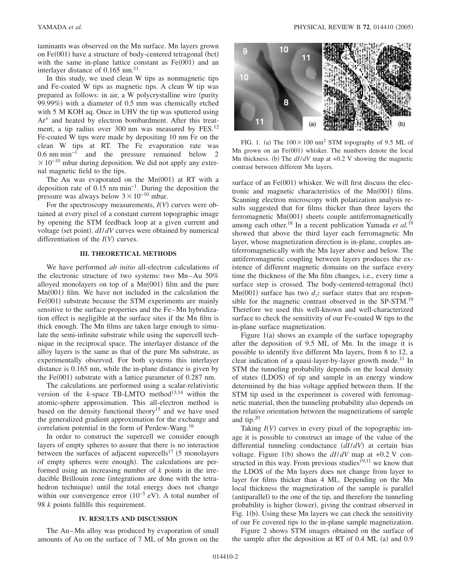taminants was observed on the Mn surface. Mn layers grown on Fe(001) have a structure of body-centered tetragonal (bct) with the same in-plane lattice constant as  $Fe(001)$  and an interlayer distance of  $0.165$  nm.<sup>11</sup>

In this study, we used clean W tips as nonmagnetic tips and Fe-coated W tips as magnetic tips. A clean W tip was prepared as follows: in air, a W polycrystalline wire (purity 99.99%) with a diameter of 0.5 mm was chemically etched with 5 M KOH aq. Once in UHV the tip was sputtered using Ar+ and heated by electron bombardment. After this treatment, a tip radius over 300 nm was measured by FES.<sup>12</sup> Fe-coated W tips were made by depositing 10 nm Fe on the clean W tips at RT. The Fe evaporation rate was 0.6 nm min−1 and the pressure remained below 2  $\times 10^{-10}$  mbar during deposition. We did not apply any external magnetic field to the tips.

The Au was evaporated on the  $Mn(001)$  at RT with a deposition rate of 0.15 nm min−1. During the deposition the pressure was always below  $3 \times 10^{-10}$  mbar.

For the spectroscopy measurements,  $I(V)$  curves were obtained at every pixel of a constant current topographic image by opening the STM feedback loop at a given current and voltage (set point).  $dI/dV$  curves were obtained by numerical differentiation of the  $I(V)$  curves.

#### **III. THEORETICAL METHODS**

We have performed *ab initio* all-electron calculations of the electronic structure of two systems: two Mn–Au 50% alloyed monolayers on top of a  $Mn(001)$  film and the pure Mn(001) film. We have not included in the calculation the Fe(001) substrate because the STM experiments are mainly sensitive to the surface properties and the Fe–Mn hybridization effect is negligible at the surface sites if the Mn film is thick enough. The Mn films are taken large enough to simulate the semi-infinite substrate while using the supercell technique in the reciprocal space. The interlayer distance of the alloy layers is the same as that of the pure Mn substrate, as experimentally observed. For both systems this interlayer distance is 0.165 nm, while the in-plane distance is given by the Fe $(001)$  substrate with a lattice parameter of 0.287 nm.

The calculations are performed using a scalar-relativistic version of the  $k$ -space TB-LMTO method<sup>13,14</sup> within the atomic-sphere approximation. This all-electron method is based on the density functional theory<sup>15</sup> and we have used the generalized gradient approximation for the exchange and correlation potential in the form of Perdew-Wang.<sup>16</sup>

In order to construct the supercell we consider enough layers of empty spheres to assure that there is no interaction between the surfaces of adjacent supercells<sup>17</sup> (5 monolayers of empty spheres were enough). The calculations are performed using an increasing number of *k* points in the irreducible Brillouin zone (integrations are done with the tetrahedron technique) until the total energy does not change within our convergence error  $(10^{-5}$  eV). A total number of 98 *k* points fulfills this requirement.

## **IV. RESULTS AND DISCUSSION**

The Au–Mn alloy was produced by evaporation of small amounts of Au on the surface of 7 ML of Mn grown on the



FIG. 1. (a) The  $100 \times 100$  nm<sup>2</sup> STM topography of 9.5 ML of Mn grown on an Fe(001) whisker. The numbers denote the local Mn thickness. (b) The  $dI/dV$  map at  $+0.2$  V showing the magnetic contrast between different Mn layers.

surface of an  $Fe(001)$  whisker. We will first discuss the electronic and magnetic characteristics of the  $Mn(001)$  films. Scanning electron microscopy with polarization analysis results suggested that for films thicker than three layers the ferromagnetic Mn(001) sheets couple antiferromagnetically among each other.18 In a recent publication Yamada *et al.*<sup>19</sup> showed that above the third layer each ferromagnetic Mn layer, whose magnetization direction is in-plane, couples antiferromagnetically with the Mn layer above and below. The antiferromagnetic coupling between layers produces the existence of different magnetic domains on the surface every time the thickness of the Mn film changes, i.e., every time a surface step is crossed. The body-centered-tetragonal (bct)  $\text{Mn}(001)$  surface has two  $d_{z^2}$  surface states that are responsible for the magnetic contrast observed in the SP-STM.<sup>19</sup> Therefore we used this well-known and well-characterized surface to check the sensitivity of our Fe-coated W tips to the in-plane surface magnetization.

Figure 1(a) shows an example of the surface topography after the deposition of 9.5 ML of Mn. In the image it is possible to identify five different Mn layers, from 8 to 12, a clear indication of a quasi-layer-by-layer growth mode.<sup>11</sup> In STM the tunneling probability depends on the local density of states (LDOS) of tip and sample in an energy window determined by the bias voltage applied between them. If the STM tip used in the experiment is covered with ferromagnetic material, then the tunneling probability also depends on the relative orientation between the magnetizations of sample and tip.<sup>20</sup>

Taking  $I(V)$  curves in every pixel of the topographic image it is possible to construct an image of the value of the differential tunneling conductance  $(dI/dV)$  at certain bias voltage. Figure 1(b) shows the  $dI/dV$  map at +0.2 V constructed in this way. From previous studies<sup> $[9,11$ </sup> we know that the LDOS of the Mn layers does not change from layer to layer for films thicker than 4 ML. Depending on the Mn local thickness the magnetization of the sample is parallel (antiparallel) to the one of the tip, and therefore the tunneling probability is higher (lower), giving the contrast observed in Fig. 1(b). Using these Mn layers we can check the sensitivity of our Fe covered tips to the in-plane sample magnetization.

Figure 2 shows STM images obtained on the surface of the sample after the deposition at RT of 0.4 ML (a) and 0.9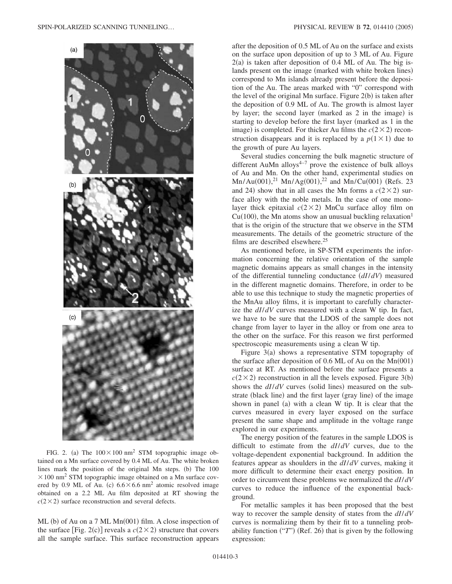

FIG. 2. (a) The  $100 \times 100$  nm<sup>2</sup> STM topographic image obtained on a Mn surface covered by 0.4 ML of Au. The white broken lines mark the position of the original Mn steps. (b) The 100  $\times$  100 nm<sup>2</sup> STM topographic image obtained on a Mn surface covered by 0.9 ML of Au. (c)  $6.6 \times 6.6$  nm<sup>2</sup> atomic resolved image obtained on a 2.2 ML Au film deposited at RT showing the  $c(2\times 2)$  surface reconstruction and several defects.

ML (b) of Au on a 7 ML Mn(001) film. A close inspection of the surface [Fig. 2(c)] reveals a  $c(2 \times 2)$  structure that covers all the sample surface. This surface reconstruction appears after the deposition of 0.5 ML of Au on the surface and exists on the surface upon deposition of up to 3 ML of Au. Figure 2(a) is taken after deposition of 0.4 ML of Au. The big islands present on the image (marked with white broken lines) correspond to Mn islands already present before the deposition of the Au. The areas marked with "0" correspond with the level of the original Mn surface. Figure 2(b) is taken after the deposition of 0.9 ML of Au. The growth is almost layer by layer; the second layer (marked as 2 in the image) is starting to develop before the first layer (marked as 1 in the image) is completed. For thicker Au films the  $c(2\times 2)$  reconstruction disappears and it is replaced by a  $p(1 \times 1)$  due to the growth of pure Au layers.

Several studies concerning the bulk magnetic structure of different AuMn alloys $4-7$  prove the existence of bulk alloys of Au and Mn. On the other hand, experimental studies on  $Mn/Au(001),<sup>21</sup> Mn/Ag(001),<sup>22</sup> and Mn/Cu(001) (Refs. 23)$ and 24) show that in all cases the Mn forms a  $c(2 \times 2)$  surface alloy with the noble metals. In the case of one monolayer thick epitaxial  $c(2 \times 2)$  MnCu surface alloy film on  $Cu(100)$ , the Mn atoms show an unusual buckling relaxation<sup>1</sup> that is the origin of the structure that we observe in the STM measurements. The details of the geometric structure of the films are described elsewhere.<sup>25</sup>

As mentioned before, in SP-STM experiments the information concerning the relative orientation of the sample magnetic domains appears as small changes in the intensity of the differential tunneling conductance  $(dI/dV)$  measured in the different magnetic domains. Therefore, in order to be able to use this technique to study the magnetic properties of the MnAu alloy films, it is important to carefully characterize the *dI*/*dV* curves measured with a clean W tip. In fact, we have to be sure that the LDOS of the sample does not change from layer to layer in the alloy or from one area to the other on the surface. For this reason we first performed spectroscopic measurements using a clean W tip.

Figure 3(a) shows a representative STM topography of the surface after deposition of  $0.6$  ML of Au on the Mn $(001)$ surface at RT. As mentioned before the surface presents a  $c(2 \times 2)$  reconstruction in all the levels exposed. Figure 3(b) shows the  $dI/dV$  curves (solid lines) measured on the substrate (black line) and the first layer (gray line) of the image shown in panel (a) with a clean W tip. It is clear that the curves measured in every layer exposed on the surface present the same shape and amplitude in the voltage range explored in our experiments.

The energy position of the features in the sample LDOS is difficult to estimate from the *dI*/*dV* curves, due to the voltage-dependent exponential background. In addition the features appear as shoulders in the *dI*/*dV* curves, making it more difficult to determine their exact energy position. In order to circumvent these problems we normalized the *dI*/*dV* curves to reduce the influence of the exponential background.

For metallic samples it has been proposed that the best way to recover the sample density of states from the *dI*/*dV* curves is normalizing them by their fit to a tunneling probability function  $("T")$  (Ref. 26) that is given by the following expression: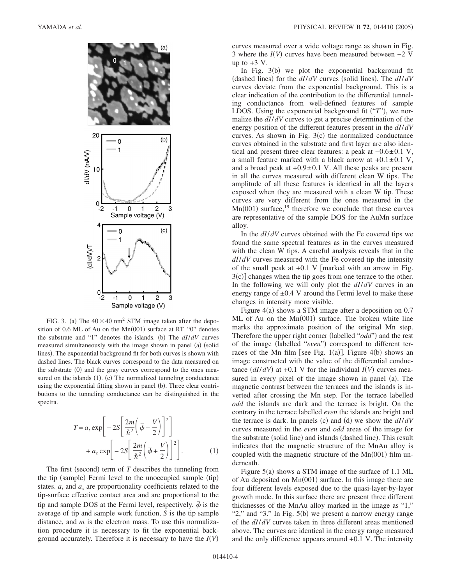

FIG. 3. (a) The  $40 \times 40$  nm<sup>2</sup> STM image taken after the deposition of 0.6 ML of Au on the Mn(001) surface at RT. "0" denotes the substrate and "1" denotes the islands. (b) The  $dI/dV$  curves measured simultaneously with the image shown in panel (a) (solid lines). The exponential background fit for both curves is shown with dashed lines. The black curves correspond to the data measured on the substrate (0) and the gray curves correspond to the ones measured on the islands  $(1)$ .  $(c)$  The normalized tunneling conductance using the exponential fitting shown in panel (b). Three clear contributions to the tunneling conductance can be distinguished in the spectra.

$$
T = a_t \exp\left[-2S\left[\frac{2m}{\hbar^2}\left(\bar{\phi} - \frac{V}{2}\right)\right]^2\right] + a_s \exp\left[-2S\left[\frac{2m}{\hbar^2}\left(\bar{\phi} + \frac{V}{2}\right)\right]^2\right].
$$
 (1)

The first (second) term of  $T$  describes the tunneling from the tip (sample) Fermi level to the unoccupied sample (tip) states.  $a_t$  and  $a_s$  are proportionality coefficients related to the tip-surface effective contact area and are proportional to the tip and sample DOS at the Fermi level, respectively.  $\bar{\phi}$  is the average of tip and sample work function, *S* is the tip sample distance, and *m* is the electron mass. To use this normalization procedure it is necessary to fit the exponential background accurately. Therefore it is necessary to have the *IV*-

curves measured over a wide voltage range as shown in Fig. 3 where the  $I(V)$  curves have been measured between  $-2$  V up to  $+3$  V.

In Fig. 3(b) we plot the exponential background fit (dashed lines) for the  $dI/dV$  curves (solid lines). The  $dI/dV$ curves deviate from the exponential background. This is a clear indication of the contribution to the differential tunneling conductance from well-defined features of sample LDOS. Using the exponential background fit ("T"), we normalize the *dI*/*dV* curves to get a precise determination of the energy position of the different features present in the *dI*/*dV* curves. As shown in Fig.  $3(c)$  the normalized conductance curves obtained in the substrate and first layer are also identical and present three clear features: a peak at −0.6±0.1 V, a small feature marked with a black arrow at  $+0.1 \pm 0.1$  V, and a broad peak at  $+0.9\pm0.1$  V. All these peaks are present in all the curves measured with different clean W tips. The amplitude of all these features is identical in all the layers exposed when they are measured with a clean W tip. These curves are very different from the ones measured in the  $\text{Mn}(001)$  surface,<sup>19</sup> therefore we conclude that these curves are representative of the sample DOS for the AuMn surface alloy.

In the *dI*/*dV* curves obtained with the Fe covered tips we found the same spectral features as in the curves measured with the clean W tips. A careful analysis reveals that in the *dI*/*dV* curves measured with the Fe covered tip the intensity of the small peak at  $+0.1$  V [marked with an arrow in Fig. 3(c)] changes when the tip goes from one terrace to the other. In the following we will only plot the *dI*/*dV* curves in an energy range of  $\pm 0.4$  V around the Fermi level to make these changes in intensity more visible.

Figure 4(a) shows a STM image after a deposition on 0.7 ML of Au on the  $Mn(001)$  surface. The broken white line marks the approximate position of the original Mn step. Therefore the upper right corner (labelled "odd") and the rest of the image (labelled "even") correspond to different terraces of the Mn film [see Fig. 1(a)]. Figure  $4(b)$  shows an image constructed with the value of the differential conductance  $(dI/dV)$  at +0.1 V for the individual  $I(V)$  curves measured in every pixel of the image shown in panel (a). The magnetic contrast between the terraces and the islands is inverted after crossing the Mn step. For the terrace labelled *odd* the islands are dark and the terrace is bright. On the contrary in the terrace labelled *even* the islands are bright and the terrace is dark. In panels (c) and (d) we show the  $dI/dV$ curves measured in the *even* and *odd* areas of the image for the substrate (solid line) and islands (dashed line). This result indicates that the magnetic structure of the MnAu alloy is coupled with the magnetic structure of the  $Mn(001)$  film underneath.

Figure 5(a) shows a STM image of the surface of 1.1 ML of Au deposited on Mn(001) surface. In this image there are four different levels exposed due to the quasi-layer-by-layer growth mode. In this surface there are present three different thicknesses of the MnAu alloy marked in the image as "1," " $2$ ," and " $3$ ." In Fig.  $5(b)$  we present a narrow energy range of the *dI*/*dV* curves taken in three different areas mentioned above. The curves are identical in the energy range measured and the only difference appears around +0.1 V. The intensity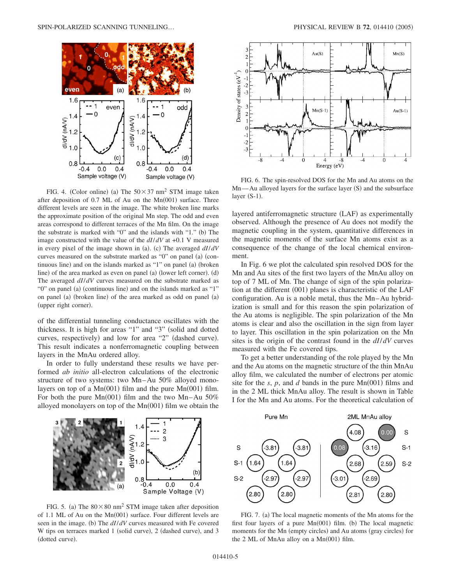

FIG. 4. (Color online) (a) The  $50 \times 37$  nm<sup>2</sup> STM image taken after deposition of 0.7 ML of Au on the Mn(001) surface. Three different levels are seen in the image. The white broken line marks the approximate position of the original Mn step. The odd and even areas correspond to different terraces of the Mn film. On the image the substrate is marked with "0" and the islands with "1." (b) The image constructed with the value of the *dI*/*dV* at +0.1 V measured in every pixel of the image shown in (a). (c) The averaged  $dI/dV$ curves measured on the substrate marked as "0" on panel (a) (continuous line) and on the islands marked as "1" on panel (a) (broken line) of the area marked as even on panel (a) (lower left corner). (d) The averaged *dI*/*dV* curves measured on the substrate marked as "O" on panel (a) (continuous line) and on the islands marked as "1" on panel (a) (broken line) of the area marked as odd on panel (a) (upper right corner).

of the differential tunneling conductance oscillates with the thickness. It is high for areas "1" and "3" (solid and dotted curves, respectively) and low for area "2" (dashed curve). This result indicates a nonferromagnetic coupling between layers in the MnAu ordered alloy.

In order to fully understand these results we have performed *ab initio* all-electron calculations of the electronic structure of two systems: two Mn–Au 50% alloyed monolayers on top of a  $Mn(001)$  film and the pure  $Mn(001)$  film. For both the pure  $Mn(001)$  film and the two Mn–Au 50% alloyed monolayers on top of the  $Mn(001)$  film we obtain the



FIG. 6. The spin-resolved DOS for the Mn and Au atoms on the Mn—Au alloyed layers for the surface layer (S) and the subsurface layer  $(S-1)$ .

layered antiferromagnetic structure (LAF) as experimentally observed. Although the presence of Au does not modify the magnetic coupling in the system, quantitative differences in the magnetic moments of the surface Mn atoms exist as a consequence of the change of the local chemical environment.

In Fig. 6 we plot the calculated spin resolved DOS for the Mn and Au sites of the first two layers of the MnAu alloy on top of 7 ML of Mn. The change of sign of the spin polarization at the different (001) planes is characteristic of the LAF configuration. Au is a noble metal, thus the Mn–Au hybridization is small and for this reason the spin polarization of the Au atoms is negligible. The spin polarization of the Mn atoms is clear and also the oscillation in the sign from layer to layer. This oscillation in the spin polarization on the Mn sites is the origin of the contrast found in the *dI*/*dV* curves measured with the Fe covered tips.

To get a better understanding of the role played by the Mn and the Au atoms on the magnetic structure of the thin MnAu alloy film, we calculated the number of electrons per atomic site for the  $s$ ,  $p$ , and  $d$  bands in the pure  $Mn(001)$  films and in the 2 ML thick MnAu alloy. The result is shown in Table I for the Mn and Au atoms. For the theoretical calculation of



FIG. 5. (a) The  $80 \times 80$  nm<sup>2</sup> STM image taken after deposition of 1.1 ML of Au on the Mn(001) surface. Four different levels are seen in the image. (b) The  $dI/dV$  curves measured with Fe covered W tips on terraces marked 1 (solid curve), 2 (dashed curve), and 3 (dotted curve).



FIG. 7. (a) The local magnetic moments of the Mn atoms for the first four layers of a pure Mn(001) film. (b) The local magnetic moments for the Mn (empty circles) and Au atoms (gray circles) for the  $2$  ML of MnAu alloy on a Mn $(001)$  film.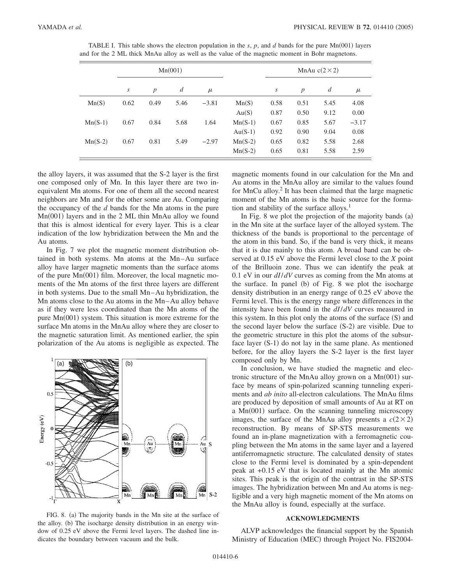|           | Mn(001) |                  |                  |         |           | MnAu $c(2 \times 2)$ |                  |                |         |
|-----------|---------|------------------|------------------|---------|-----------|----------------------|------------------|----------------|---------|
|           | S       | $\boldsymbol{p}$ | $\boldsymbol{d}$ | $\mu$   |           | S                    | $\boldsymbol{p}$ | $\overline{d}$ | $\mu$   |
| Mn(S)     | 0.62    | 0.49             | 5.46             | $-3.81$ | Mn(S)     | 0.58                 | 0.51             | 5.45           | 4.08    |
|           |         |                  |                  |         | Au(S)     | 0.87                 | 0.50             | 9.12           | 0.00    |
| $Mn(S-1)$ | 0.67    | 0.84             | 5.68             | 1.64    | $Mn(S-1)$ | 0.67                 | 0.85             | 5.67           | $-3.17$ |
|           |         |                  |                  |         | $Au(S-1)$ | 0.92                 | 0.90             | 9.04           | 0.08    |
| $Mn(S-2)$ | 0.67    | 0.81             | 5.49             | $-2.97$ | $Mn(S-2)$ | 0.65                 | 0.82             | 5.58           | 2.68    |
|           |         |                  |                  |         | $Mn(S-2)$ | 0.65                 | 0.81             | 5.58           | 2.59    |

TABLE I. This table shows the electron population in the  $s$ ,  $p$ , and  $d$  bands for the pure Mn $(001)$  layers and for the 2 ML thick MnAu alloy as well as the value of the magnetic moment in Bohr magnetons.

the alloy layers, it was assumed that the S-2 layer is the first one composed only of Mn. In this layer there are two inequivalent Mn atoms. For one of them all the second nearest neighbors are Mn and for the other some are Au. Comparing the occupancy of the *d* bands for the Mn atoms in the pure Mn(001) layers and in the 2 ML thin MnAu alloy we found that this is almost identical for every layer. This is a clear indication of the low hybridization between the Mn and the Au atoms.

In Fig. 7 we plot the magnetic moment distribution obtained in both systems. Mn atoms at the Mn–Au surface alloy have larger magnetic moments than the surface atoms of the pure Mn(001) film. Moreover, the local magnetic moments of the Mn atoms of the first three layers are different in both systems. Due to the small Mn–Au hybridization, the Mn atoms close to the Au atoms in the Mn–Au alloy behave as if they were less coordinated than the Mn atoms of the pure Mn(001) system. This situation is more extreme for the surface Mn atoms in the MnAu alloy where they are closer to the magnetic saturation limit. As mentioned earlier, the spin polarization of the Au atoms is negligible as expected. The



FIG. 8. (a) The majority bands in the Mn site at the surface of the alloy. (b) The isocharge density distribution in an energy window of 0.25 eV above the Fermi level layers. The dashed line indicates the boundary between vacuum and the bulk.

magnetic moments found in our calculation for the Mn and Au atoms in the MnAu alloy are similar to the values found for MnCu alloy.2 It has been claimed that the large magnetic moment of the Mn atoms is the basic source for the formation and stability of the surface alloys.<sup>1</sup>

In Fig. 8 we plot the projection of the majority bands (a) in the Mn site at the surface layer of the alloyed system. The thickness of the bands is proportional to the percentage of the atom in this band. So, if the band is very thick, it means that it is due mainly to this atom. A broad band can be observed at 0.15 eV above the Fermi level close to the *X* point of the Brilluoin zone. Thus we can identify the peak at 0.1 eV in our *dI*/*dV* curves as coming from the Mn atoms at the surface. In panel (b) of Fig. 8 we plot the isocharge density distribution in an energy range of 0.25 eV above the Fermi level. This is the energy range where differences in the intensity have been found in the *dI*/*dV* curves measured in this system. In this plot only the atoms of the surface (S) and the second layer below the surface (S-2) are visible. Due to the geometric structure in this plot the atoms of the subsurface layer (S-1) do not lay in the same plane. As mentioned before, for the alloy layers the S-2 layer is the first layer composed only by Mn.

In conclusion, we have studied the magnetic and electronic structure of the MnAu alloy grown on a Mn(001) surface by means of spin-polarized scanning tunneling experiments and *ab inito* all-electron calculations. The MnAu films are produced by deposition of small amounts of Au at RT on a Mn(001) surface. On the scanning tunneling microscopy images, the surface of the MnAu alloy presents a  $c(2\times2)$ reconstruction. By means of SP-STS measurements we found an in-plane magnetization with a ferromagnetic coupling between the Mn atoms in the same layer and a layered antiferromagnetic structure. The calculated density of states close to the Fermi level is dominated by a spin-dependent peak at +0.15 eV that is located mainly at the Mn atomic sites. This peak is the origin of the contrast in the SP-STS images. The hybridization between Mn and Au atoms is negligible and a very high magnetic moment of the Mn atoms on the MnAu alloy is found, especially at the surface.

### **ACKNOWLEDGMENTS**

ALVP acknowledges the financial support by the Spanish Ministry of Education (MEC) through Project No. FIS2004